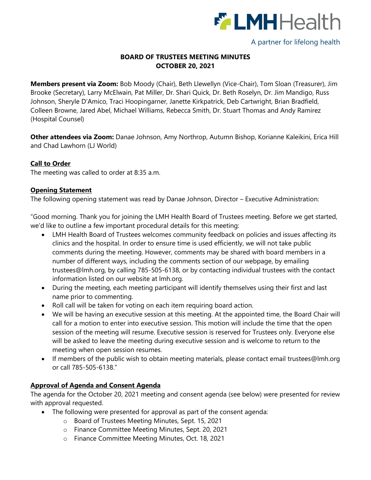

# A partner for lifelong health

# **BOARD OF TRUSTEES MEETING MINUTES OCTOBER 20, 2021**

**Members present via Zoom:** Bob Moody (Chair), Beth Llewellyn (Vice-Chair), Tom Sloan (Treasurer), Jim Brooke (Secretary), Larry McElwain, Pat Miller, Dr. Shari Quick, Dr. Beth Roselyn, Dr. Jim Mandigo, Russ Johnson, Sheryle D'Amico, Traci Hoopingarner, Janette Kirkpatrick, Deb Cartwright, Brian Bradfield, Colleen Browne, Jared Abel, Michael Williams, Rebecca Smith, Dr. Stuart Thomas and Andy Ramirez (Hospital Counsel)

**Other attendees via Zoom:** Danae Johnson, Amy Northrop, Autumn Bishop, Korianne Kaleikini, Erica Hill and Chad Lawhorn (LJ World)

## **Call to Order**

The meeting was called to order at 8:35 a.m.

### **Opening Statement**

The following opening statement was read by Danae Johnson, Director – Executive Administration:

"Good morning. Thank you for joining the LMH Health Board of Trustees meeting. Before we get started, we'd like to outline a few important procedural details for this meeting:

- LMH Health Board of Trustees welcomes community feedback on policies and issues affecting its clinics and the hospital. In order to ensure time is used efficiently, we will not take public comments during the meeting. However, comments may be shared with board members in a number of different ways, including the comments section of our webpage, by emailing trustees@lmh.org, by calling 785-505-6138, or by contacting individual trustees with the contact information listed on our website at lmh.org.
- During the meeting, each meeting participant will identify themselves using their first and last name prior to commenting.
- Roll call will be taken for voting on each item requiring board action.
- We will be having an executive session at this meeting. At the appointed time, the Board Chair will call for a motion to enter into executive session. This motion will include the time that the open session of the meeting will resume. Executive session is reserved for Trustees only. Everyone else will be asked to leave the meeting during executive session and is welcome to return to the meeting when open session resumes.
- If members of the public wish to obtain meeting materials, please contact email trustees@lmh.org or call 785-505-6138."

## **Approval of Agenda and Consent Agenda**

The agenda for the October 20, 2021 meeting and consent agenda (see below) were presented for review with approval requested.

- The following were presented for approval as part of the consent agenda:
	- o Board of Trustees Meeting Minutes, Sept. 15, 2021
	- o Finance Committee Meeting Minutes, Sept. 20, 2021
	- o Finance Committee Meeting Minutes, Oct. 18, 2021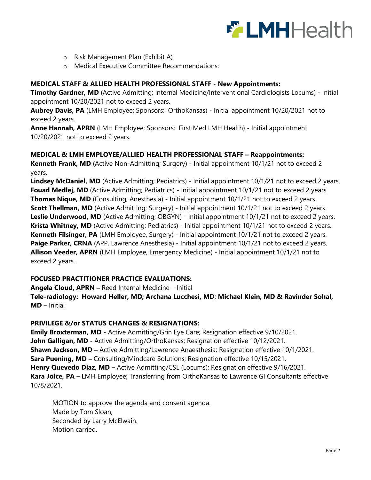

- o Risk Management Plan (Exhibit A)
- o Medical Executive Committee Recommendations:

#### **MEDICAL STAFF & ALLIED HEALTH PROFESSIONAL STAFF - New Appointments:**

**Timothy Gardner, MD** (Active Admitting; Internal Medicine/Interventional Cardiologists Locums) - Initial appointment 10/20/2021 not to exceed 2 years.

**Aubrey Davis, PA** (LMH Employee; Sponsors: OrthoKansas) - Initial appointment 10/20/2021 not to exceed 2 years.

**Anne Hannah, APRN** (LMH Employee; Sponsors: First Med LMH Health) - Initial appointment 10/20/2021 not to exceed 2 years.

#### **MEDICAL & LMH EMPLOYEE/ALLIED HEALTH PROFESSIONAL STAFF – Reappointments:**

**Kenneth Frank, MD** (Active Non-Admitting; Surgery) - Initial appointment 10/1/21 not to exceed 2 years.

**Lindsey McDaniel, MD** (Active Admitting; Pediatrics) - Initial appointment 10/1/21 not to exceed 2 years. **Fouad Medlej, MD** (Active Admitting; Pediatrics) - Initial appointment 10/1/21 not to exceed 2 years. **Thomas Nique, MD** (Consulting; Anesthesia) - Initial appointment 10/1/21 not to exceed 2 years. **Scott Thellman, MD** (Active Admitting; Surgery) - Initial appointment 10/1/21 not to exceed 2 years. Leslie Underwood, MD (Active Admitting; OBGYN) - Initial appointment 10/1/21 not to exceed 2 years. **Krista Whitney, MD** (Active Admitting; Pediatrics) - Initial appointment 10/1/21 not to exceed 2 years. **Kenneth Filsinger, PA** (LMH Employee, Surgery) - Initial appointment 10/1/21 not to exceed 2 years. **Paige Parker, CRNA** (APP, Lawrence Anesthesia) - Initial appointment 10/1/21 not to exceed 2 years. **Allison Veeder, APRN** (LMH Employee, Emergency Medicine) - Initial appointment 10/1/21 not to exceed 2 years.

### **FOCUSED PRACTITIONER PRACTICE EVALUATIONS:**

**Angela Cloud, APRN –** Reed Internal Medicine – Initial

**Tele-radiology: Howard Heller, MD; Archana Lucchesi, MD**; **Michael Klein, MD & Ravinder Sohal, MD** – Initial

#### **PRIVILEGE &/or STATUS CHANGES & RESIGNATIONS:**

**Emily Broxterman, MD -** Active Admitting/Grin Eye Care; Resignation effective 9/10/2021. **John Galligan, MD -** Active Admitting/OrthoKansas; Resignation effective 10/12/2021. **Shawn Jackson, MD –** Active Admitting/Lawrence Anaesthesia; Resignation effective 10/1/2021. **Sara Puening, MD –** Consulting/Mindcare Solutions; Resignation effective 10/15/2021. **Henry Quevedo Diaz, MD –** Active Admitting/CSL (Locums); Resignation effective 9/16/2021. **Kara Joice, PA –** LMH Employee; Transferring from OrthoKansas to Lawrence GI Consultants effective 10/8/2021.

MOTION to approve the agenda and consent agenda. Made by Tom Sloan, Seconded by Larry McElwain. Motion carried.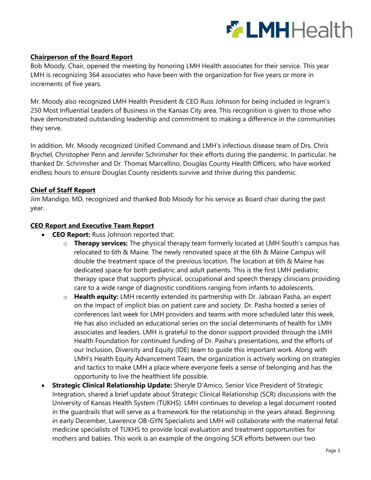

## **Chairperson of the Board Report**

Bob Moody, Chair, opened the meeting by honoring LMH Health associates for their service. This year LMH is recognizing 364 associates who have been with the organization for five years or more in increments of five years.

Mr. Moody also recognized LMH Health President & CEO Russ Johnson for being included in Ingram's 250 Most Influential Leaders of Business in the Kansas City area. This recognition is given to those who have demonstrated outstanding leadership and commitment to making a difference in the communities they serve.

In addition, Mr. Moody recognized Unified Command and LMH's infectious disease team of Drs. Chris Brychel, Christopher Penn and Jennifer Schrimsher for their efforts during the pandemic. In particular, he thanked Dr. Schrimsher and Dr. Thomas Marcellino, Douglas County Health Officers, who have worked endless hours to ensure Douglas County residents survive and thrive during this pandemic.

## **Chief of Staff Report**

Jim Mandigo, MD, recognized and thanked Bob Moody for his service as Board chair during the past year.

### **CEO Report and Executive Team Report**

- **CEO Report:** Russ Johnson reported that:
	- o **Therapy services:** The physical therapy team formerly located at LMH South's campus has relocated to 6th & Maine. The newly renovated space at the 6th & Maine Campus will double the treatment space of the previous location. The location at 6th & Maine has dedicated space for both pediatric and adult patients. This is the first LMH pediatric therapy space that supports physical, occupational and speech therapy clinicians providing care to a wide range of diagnostic conditions ranging from infants to adolescents.
	- o **Health equity:** LMH recently extended its partnership with Dr. Jabraan Pasha, an expert on the impact of implicit bias on patient care and society. Dr. Pasha hosted a series of conferences last week for LMH providers and teams with more scheduled later this week. He has also included an educational series on the social determinants of health for LMH associates and leaders. LMH is grateful to the donor support provided through the LMH Health Foundation for continued funding of Dr. Pasha's presentations, and the efforts of our Inclusion, Diversity and Equity (IDE) team to guide this important work. Along with LMH's Health Equity Advancement Team, the organization is actively working on strategies and tactics to make LMH a place where everyone feels a sense of belonging and has the opportunity to live the healthiest life possible.
- **Strategic Clinical Relationship Update:** Sheryle D'Amico, Senior Vice President of Strategic Integration, shared a brief update about Strategic Clinical Relationship (SCR) discussions with the University of Kansas Health System (TUKHS). LMH continues to develop a legal document rooted in the guardrails that will serve as a framework for the relationship in the years ahead. Beginning in early December, Lawrence OB-GYN Specialists and LMH will collaborate with the maternal fetal medicine specialists of TUKHS to provide local evaluation and treatment opportunities for mothers and babies. This work is an example of the ongoing SCR efforts between our two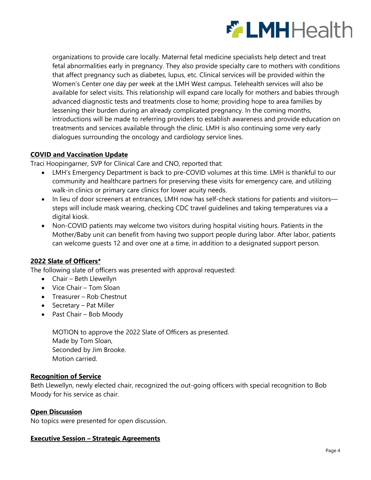

organizations to provide care locally. Maternal fetal medicine specialists help detect and treat fetal abnormalities early in pregnancy. They also provide specialty care to mothers with conditions that affect pregnancy such as diabetes, lupus, etc. Clinical services will be provided within the Women's Center one day per week at the LMH West campus. Telehealth services will also be available for select visits. This relationship will expand care locally for mothers and babies through advanced diagnostic tests and treatments close to home; providing hope to area families by lessening their burden during an already complicated pregnancy. In the coming months, introductions will be made to referring providers to establish awareness and provide education on treatments and services available through the clinic. LMH is also continuing some very early dialogues surrounding the oncology and cardiology service lines.

## **COVID and Vaccination Update**

Traci Hoopingarner, SVP for Clinical Care and CNO, reported that:

- LMH's Emergency Department is back to pre-COVID volumes at this time. LMH is thankful to our community and healthcare partners for preserving these visits for emergency care, and utilizing walk-in clinics or primary care clinics for lower acuity needs.
- In lieu of door screeners at entrances, LMH now has self-check stations for patients and visitors steps will include mask wearing, checking CDC travel guidelines and taking temperatures via a digital kiosk.
- Non-COVID patients may welcome two visitors during hospital visiting hours. Patients in the Mother/Baby unit can benefit from having two support people during labor. After labor, patients can welcome guests 12 and over one at a time, in addition to a designated support person.

## **2022 Slate of Officers\***

The following slate of officers was presented with approval requested:

- Chair Beth Llewellyn
- Vice Chair Tom Sloan
- Treasurer Rob Chestnut
- Secretary Pat Miller
- Past Chair Bob Moody

MOTION to approve the 2022 Slate of Officers as presented. Made by Tom Sloan, Seconded by Jim Brooke. Motion carried.

## **Recognition of Service**

Beth Llewellyn, newly elected chair, recognized the out-going officers with special recognition to Bob Moody for his service as chair.

### **Open Discussion**

No topics were presented for open discussion.

### **Executive Session – Strategic Agreements**